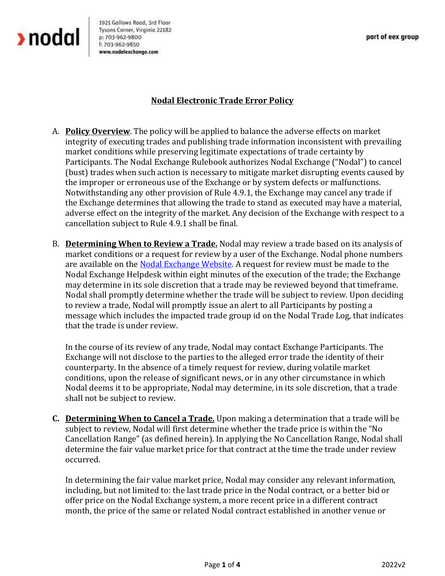

1921 Gallows Road, 3rd Floor Tysons Corner, Virginia 22182 p: 703-962-9800 f: 703-962-9850 www.nodalexchange.com

## **Nodal Electronic Trade Error Policy**

- A. **Policy Overview**. The policy will be applied to balance the adverse effects on market integrity of executing trades and publishing trade information inconsistent with prevailing market conditions while preserving legitimate expectations of trade certainty by Participants. The Nodal Exchange Rulebook authorizes Nodal Exchange ("Nodal") to cancel (bust) trades when such action is necessary to mitigate market disrupting events caused by the improper or erroneous use of the Exchange or by system defects or malfunctions. Notwithstanding any other provision of Rule 4.9.1, the Exchange may cancel any trade if the Exchange determines that allowing the trade to stand as executed may have a material, adverse effect on the integrity of the market. Any decision of the Exchange with respect to a cancellation subject to Rule 4.9.1 shall be final.
- B. **Determining When to Review a Trade.** Nodal may review a trade based on its analysis of market conditions or a request for review by a user of the Exchange. Nodal phone numbers are available on th[e Nodal Exchange Website.](https://www.nodalexchange.com/contact-us/) A request for review must be made to the Nodal Exchange Helpdesk within eight minutes of the execution of the trade; the Exchange may determine in its sole discretion that a trade may be reviewed beyond that timeframe. Nodal shall promptly determine whether the trade will be subject to review. Upon deciding to review a trade, Nodal will promptly issue an alert to all Participants by posting a message which includes the impacted trade group id on the Nodal Trade Log, that indicates that the trade is under review.

In the course of its review of any trade, Nodal may contact Exchange Participants. The Exchange will not disclose to the parties to the alleged error trade the identity of their counterparty. In the absence of a timely request for review, during volatile market conditions, upon the release of significant news, or in any other circumstance in which Nodal deems it to be appropriate, Nodal may determine, in its sole discretion, that a trade shall not be subject to review.

**C. Determining When to Cancel a Trade.** Upon making a determination that a trade will be subject to review, Nodal will first determine whether the trade price is within the "No Cancellation Range" (as defined herein). In applying the No Cancellation Range, Nodal shall determine the fair value market price for that contract at the time the trade under review occurred.

In determining the fair value market price, Nodal may consider any relevant information, including, but not limited to: the last trade price in the Nodal contract, or a better bid or offer price on the Nodal Exchange system, a more recent price in a different contract month, the price of the same or related Nodal contract established in another venue or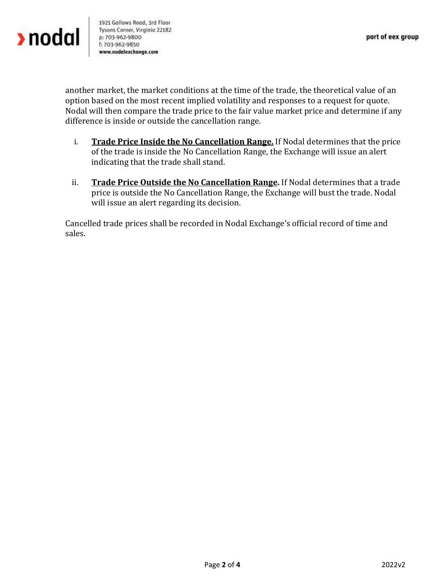1921 Gallows Road, 3rd Floor Tysons Corner, Virginia 22182 p: 703-962-9800 f: 703-962-9850 www.nodalexchange.com

another market, the market conditions at the time of the trade, the theoretical value of an option based on the most recent implied volatility and responses to a request for quote. Nodal will then compare the trade price to the fair value market price and determine if any difference is inside or outside the cancellation range.

- i. **Trade Price Inside the No Cancellation Range.** If Nodal determines that the price of the trade is inside the No Cancellation Range, the Exchange will issue an alert indicating that the trade shall stand.
- ii. **Trade Price Outside the No Cancellation Range.** If Nodal determines that a trade price is outside the No Cancellation Range, the Exchange will bust the trade. Nodal will issue an alert regarding its decision.

Cancelled trade prices shall be recorded in Nodal Exchange's official record of time and sales.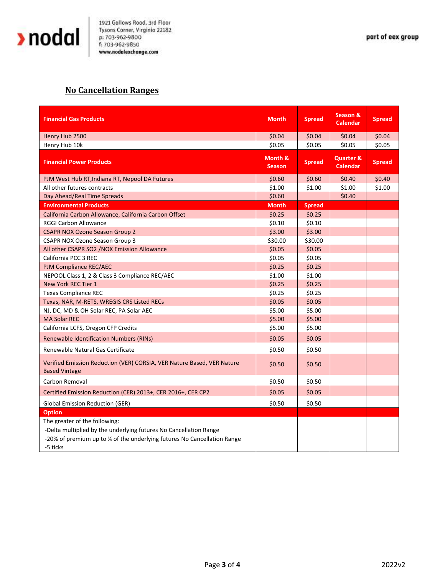

## **No Cancellation Ranges**

| <b>Financial Gas Products</b>                                                                                                                                                             | <b>Month</b>             | <b>Spread</b> | <b>Season &amp;</b><br><b>Calendar</b>  | <b>Spread</b> |
|-------------------------------------------------------------------------------------------------------------------------------------------------------------------------------------------|--------------------------|---------------|-----------------------------------------|---------------|
| Henry Hub 2500                                                                                                                                                                            | \$0.04                   | \$0.04        | \$0.04                                  | \$0.04        |
| Henry Hub 10k                                                                                                                                                                             | \$0.05                   | \$0.05        | \$0.05                                  | \$0.05        |
| <b>Financial Power Products</b>                                                                                                                                                           | Month &<br><b>Season</b> | <b>Spread</b> | <b>Quarter &amp;</b><br><b>Calendar</b> | <b>Spread</b> |
| PJM West Hub RT, Indiana RT, Nepool DA Futures                                                                                                                                            | \$0.60                   | \$0.60        | \$0.40                                  | \$0.40        |
| All other futures contracts                                                                                                                                                               | \$1.00                   | \$1.00        | \$1.00                                  | \$1.00        |
| Day Ahead/Real Time Spreads                                                                                                                                                               | \$0.60                   |               | \$0.40                                  |               |
| <b>Environmental Products</b>                                                                                                                                                             | <b>Month</b>             | <b>Spread</b> |                                         |               |
| California Carbon Allowance, California Carbon Offset                                                                                                                                     | \$0.25                   | \$0.25        |                                         |               |
| <b>RGGI Carbon Allowance</b>                                                                                                                                                              | \$0.10                   | \$0.10        |                                         |               |
| <b>CSAPR NOX Ozone Season Group 2</b>                                                                                                                                                     | \$3.00                   | \$3.00        |                                         |               |
| <b>CSAPR NOX Ozone Season Group 3</b>                                                                                                                                                     | \$30.00                  | \$30.00       |                                         |               |
| All other CSAPR SO2 / NOX Emission Allowance                                                                                                                                              | \$0.05                   | \$0.05        |                                         |               |
| California PCC 3 REC                                                                                                                                                                      | \$0.05                   | \$0.05        |                                         |               |
| PJM Compliance REC/AEC                                                                                                                                                                    | \$0.25                   | \$0.25        |                                         |               |
| NEPOOL Class 1, 2 & Class 3 Compliance REC/AEC                                                                                                                                            | \$1.00                   | \$1.00        |                                         |               |
| New York REC Tier 1                                                                                                                                                                       | \$0.25                   | \$0.25        |                                         |               |
| <b>Texas Compliance REC</b>                                                                                                                                                               | \$0.25                   | \$0.25        |                                         |               |
| Texas, NAR, M-RETS, WREGIS CRS Listed RECs                                                                                                                                                | \$0.05                   | \$0.05        |                                         |               |
| NJ, DC, MD & OH Solar REC, PA Solar AEC                                                                                                                                                   | \$5.00                   | \$5.00        |                                         |               |
| <b>MA Solar REC</b>                                                                                                                                                                       | \$5.00                   | \$5.00        |                                         |               |
| California LCFS, Oregon CFP Credits                                                                                                                                                       | \$5.00                   | \$5.00        |                                         |               |
| <b>Renewable Identification Numbers (RINs)</b>                                                                                                                                            | \$0.05                   | \$0.05        |                                         |               |
| Renewable Natural Gas Certificate                                                                                                                                                         | \$0.50                   | \$0.50        |                                         |               |
| Verified Emission Reduction (VER) CORSIA, VER Nature Based, VER Nature<br><b>Based Vintage</b>                                                                                            | \$0.50                   | \$0.50        |                                         |               |
| Carbon Removal                                                                                                                                                                            | \$0.50                   | \$0.50        |                                         |               |
| Certified Emission Reduction (CER) 2013+, CER 2016+, CER CP2                                                                                                                              | \$0.05                   | \$0.05        |                                         |               |
| <b>Global Emission Reduction (GER)</b>                                                                                                                                                    | \$0.50                   | \$0.50        |                                         |               |
| <b>Option</b>                                                                                                                                                                             |                          |               |                                         |               |
| The greater of the following:<br>-Delta multiplied by the underlying futures No Cancellation Range<br>-20% of premium up to ¼ of the underlying futures No Cancellation Range<br>-5 ticks |                          |               |                                         |               |